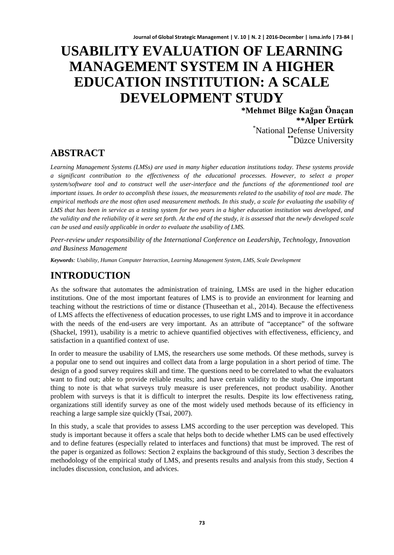# **USABILITY EVALUATION OF LEARNING MANAGEMENT SYSTEM IN A HIGHER EDUCATION INSTITUTION: A SCALE DEVELOPMENT STUDY**

**\*Mehmet Bilge Kağan Önaçan \*\*Alper Ertürk<br>Iniversity Defense University** National Defense University **\*\***Düzce University

### **ABSTRACT**

*Learning Management Systems (LMSs) are used in many higher education institutions today. These systems provide a significant contribution to the effectiveness of the educational processes. However, to select a proper system/software tool and to construct well the user-interface and the functions of the aforementioned tool are important issues. In order to accomplish these issues, the measurements related to the usability of tool are made. The empirical methods are the most often used measurement methods. In this study, a scale for evaluating the usability of LMS that has been in service as a testing system for two years in a higher education institution was developed, and the validity and the reliability of it were set forth. At the end of the study, it is assessed that the newly developed scale can be used and easily applicable in order to evaluate the usability of LMS.*

*Peer-review under responsibility of the International Conference on Leadership, Technology, Innovation and Business Management*

*Keywords: Usability, Human Computer Interaction, Learning Management System, LMS, Scale Development*

## **INTRODUCTION**

As the software that automates the administration of training, LMSs are used in the higher education institutions. One of the most important features of LMS is to provide an environment for learning and teaching without the restrictions of time or distance (Thuseethan et al., 2014). Because the effectiveness of LMS affects the effectiveness of education processes, to use right LMS and to improve it in accordance with the needs of the end-users are very important. As an attribute of "acceptance" of the software (Shackel, 1991), usability is a metric to achieve quantified objectives with effectiveness, efficiency, and satisfaction in a quantified context of use.

In order to measure the usability of LMS, the researchers use some methods. Of these methods, survey is a popular one to send out inquires and collect data from a large population in a short period of time. The design of a good survey requires skill and time. The questions need to be correlated to what the evaluators want to find out; able to provide reliable results; and have certain validity to the study. One important thing to note is that what surveys truly measure is user preferences, not product usability. Another problem with surveys is that it is difficult to interpret the results. Despite its low effectiveness rating, organizations still identify survey as one of the most widely used methods because of its efficiency in reaching a large sample size quickly (Tsai, 2007).

In this study, a scale that provides to assess LMS according to the user perception was developed. This study is important because it offers a scale that helps both to decide whether LMS can be used effectively and to define features (especially related to interfaces and functions) that must be improved. The rest of the paper is organized as follows: Section 2 explains the background of this study, Section 3 describes the methodology of the empirical study of LMS, and presents results and analysis from this study, Section 4 includes discussion, conclusion, and advices.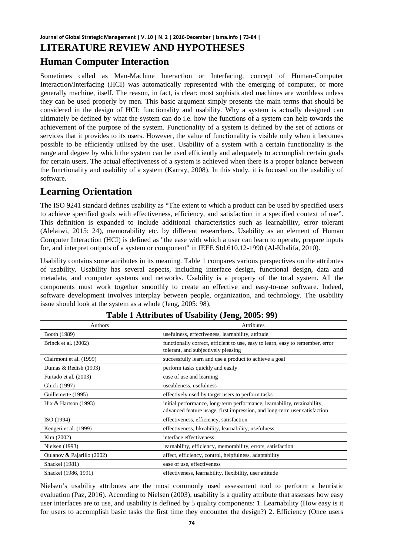#### **Journal of Global Strategic Management | V. 10 | N. 2 | 2016-December | isma.info | 73-84 | LITERATURE REVIEW AND HYPOTHESES**

#### **Human Computer Interaction**

Sometimes called as Man-Machine Interaction or Interfacing, concept of Human-Computer Interaction/Interfacing (HCI) was automatically represented with the emerging of computer, or more generally machine, itself. The reason, in fact, is clear: most sophisticated machines are worthless unless they can be used properly by men. This basic argument simply presents the main terms that should be considered in the design of HCI: functionality and usability. Why a system is actually designed can ultimately be defined by what the system can do i.e. how the functions of a system can help towards the achievement of the purpose of the system. Functionality of a system is defined by the set of actions or services that it provides to its users. However, the value of functionality is visible only when it becomes possible to be efficiently utilised by the user. Usability of a system with a certain functionality is the range and degree by which the system can be used efficiently and adequately to accomplish certain goals for certain users. The actual effectiveness of a system is achieved when there is a proper balance between the functionality and usability of a system (Karray, 2008). In this study, it is focused on the usability of software.

### **Learning Orientation**

The ISO 9241 standard defines usability as "The extent to which a product can be used by specified users to achieve specified goals with effectiveness, efficiency, and satisfaction in a specified context of use". This definition is expanded to include additional characteristics such as learnability, error tolerant (Alelaiwi, 2015: 24), memorability etc. by different researchers. Usability as an element of Human Computer Interaction (HCI) is defined as "the ease with which a user can learn to operate, prepare inputs for, and interpret outputs of a system or component" in IEEE Std.610.12-1990 (Al-Khalifa, 2010).

Usability contains some attributes in its meaning. Table 1 compares various perspectives on the attributes of usability. Usability has several aspects, including interface design, functional design, data and metadata, and computer systems and networks. Usability is a property of the total system. All the components must work together smoothly to create an effective and easy-to-use software. Indeed, software development involves interplay between people, organization, and technology. The usability issue should look at the system as a whole (Jeng, 2005: 98).

| Authors                    | <b>Attributes</b>                                                                                                                                     |
|----------------------------|-------------------------------------------------------------------------------------------------------------------------------------------------------|
| Booth (1989)               | usefulness, effectiveness, learnability, attitude                                                                                                     |
| Brinck et al. (2002)       | functionally correct, efficient to use, easy to learn, easy to remember, error<br>tolerant, and subjectively pleasing                                 |
| Clairmont et al. (1999)    | successfully learn and use a product to achieve a goal                                                                                                |
| Dumas & Redish (1993)      | perform tasks quickly and easily                                                                                                                      |
| Furtado et al. (2003)      | ease of use and learning                                                                                                                              |
| Gluck (1997)               | useableness, usefulness                                                                                                                               |
| Guillemette (1995)         | effectively used by target users to perform tasks                                                                                                     |
| Hix $& Hartson (1993)$     | initial performance, long-term performance, learnability, retainability,<br>advanced feature usage, first impression, and long-term user satisfaction |
| ISO (1994)                 | effectiveness, efficiency, satisfaction                                                                                                               |
| Kengeri et al. (1999)      | effectiveness, likeability, learnability, usefulness                                                                                                  |
| Kim (2002)                 | interface effectiveness                                                                                                                               |
| Nielsen (1993)             | learnability, efficiency, memorability, errors, satisfaction                                                                                          |
| Oulanov & Pajarillo (2002) | affect, efficiency, control, helpfulness, adaptability                                                                                                |
| <b>Shackel</b> (1981)      | ease of use, effectiveness                                                                                                                            |
| Shackel (1986, 1991)       | effectiveness, learnability, flexibility, user attitude                                                                                               |

| Table 1 Attributes of Usability (Jeng, 2005: 99) |  |  |  |  |  |
|--------------------------------------------------|--|--|--|--|--|
|--------------------------------------------------|--|--|--|--|--|

Nielsen's usability attributes are the most commonly used assessment tool to perform a heuristic evaluation (Paz, 2016). According to Nielsen (2003), usability is a quality attribute that assesses how easy user interfaces are to use, and usability is defined by 5 quality components: 1. Learnability (How easy is it for users to accomplish basic tasks the first time they encounter the design?) 2. Efficiency (Once users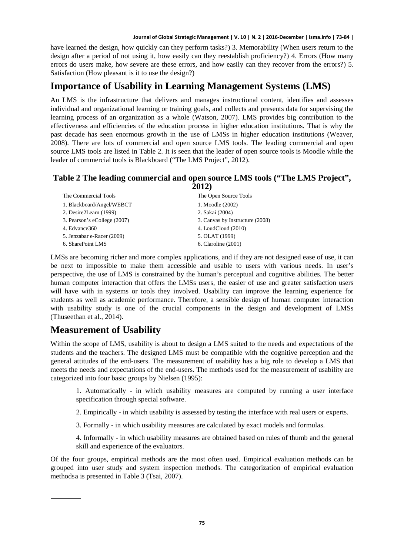have learned the design, how quickly can they perform tasks?) 3. Memorability (When users return to the design after a period of not using it, how easily can they reestablish proficiency?) 4. Errors (How many errors do users make, how severe are these errors, and how easily can they recover from the errors?) 5. Satisfaction (How pleasant is it to use the design?)

#### **Importance of Usability in Learning Management Systems (LMS)**

An LMS is the infrastructure that delivers and manages instructional content, identifies and assesses individual and organizational learning or training goals, and collects and presents data for supervising the learning process of an organization as a whole (Watson, 2007). LMS provides big contribution to the effectiveness and efficiencies of the education process in higher education institutions. That is why the past decade has seen enormous growth in the use of LMSs in higher education institutions (Weaver, 2008). There are lots of commercial and open source LMS tools. The leading commercial and open source LMS tools are listed in Table 2. It is seen that the leader of open source tools is Moodle while the leader of commercial tools is Blackboard ("The LMS Project", 2012).

#### **Table 2 The leading commercial and open source LMS tools ("The LMS Project", 2012)**

| The Open Source Tools           |
|---------------------------------|
| 1. Moodle (2002)                |
| 2. Sakai (2004)                 |
| 3. Canvas by Instructure (2008) |
| 4. LoudCloud $(2010)$           |
| 5. OLAT (1999)                  |
| 6. Claroline (2001)             |
|                                 |

LMSs are becoming richer and more complex applications, and if they are not designed ease of use, it can be next to impossible to make them accessible and usable to users with various needs. In user's perspective, the use of LMS is constrained by the human's perceptual and cognitive abilities. The better human computer interaction that offers the LMSs users, the easier of use and greater satisfaction users will have with in systems or tools they involved. Usability can improve the learning experience for students as well as academic performance. Therefore, a sensible design of human computer interaction with usability study is one of the crucial components in the design and development of LMSs (Thuseethan et al., 2014).

#### **Measurement of Usability**

Within the scope of LMS, usability is about to design a LMS suited to the needs and expectations of the students and the teachers. The designed LMS must be compatible with the cognitive perception and the general attitudes of the end-users. The measurement of usability has a big role to develop a LMS that meets the needs and expectations of the end-users. The methods used for the measurement of usability are categorized into four basic groups by Nielsen (1995):

1. Automatically - in which usability measures are computed by running a user interface specification through special software.

- 2. Empirically in which usability is assessed by testing the interface with real users or experts.
- 3. Formally in which usability measures are calculated by exact models and formulas.
- 4. Informally in which usability measures are obtained based on rules of thumb and the general skill and experience of the evaluators.

<span id="page-2-0"></span>Of the four groups, empirical methods are the most often used. Empirical evaluation methods can be grouped into user study and system inspection methods. The categorization of empirical evaluation methods[a](#page-2-0) is presented in Table 3 (Tsai, 2007).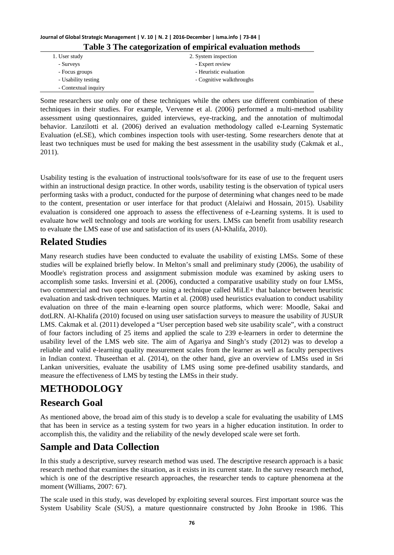| Journal of Global Strategic Management   V. 10   N. 2   2016-December   isma.info   73-84 |                                                            |  |  |  |  |  |  |  |  |
|-------------------------------------------------------------------------------------------|------------------------------------------------------------|--|--|--|--|--|--|--|--|
|                                                                                           | Table 3 The categorization of empirical evaluation methods |  |  |  |  |  |  |  |  |
| 1. User study                                                                             | 2. System inspection                                       |  |  |  |  |  |  |  |  |

| $\ldots$ $\ldots$ $\ldots$ | $\equiv$ . $\leftrightarrow$ , $\circ$ . The map $\circ$ of $\circ$ map |
|----------------------------|-------------------------------------------------------------------------|
| - Surveys                  | - Expert review                                                         |
| - Focus groups             | - Heuristic evaluation                                                  |
| - Usability testing        | - Cognitive walkthroughs                                                |
| - Contextual inquiry       |                                                                         |

Some researchers use only one of these techniques while the others use different combination of these techniques in their studies. For example, Vervenne et al. (2006) performed a multi-method usability assessment using questionnaires, guided interviews, eye-tracking, and the annotation of multimodal behavior. Lanzilotti et al. (2006) derived an evaluation methodology called e-Learning Systematic Evaluation (eLSE), which combines inspection tools with user-testing. Some researchers denote that at least two techniques must be used for making the best assessment in the usability study (Cakmak et al., 2011).

Usability testing is the evaluation of instructional tools/software for its ease of use to the frequent users within an instructional design practice. In other words, usability testing is the observation of typical users performing tasks with a product, conducted for the purpose of determining what changes need to be made to the content, presentation or user interface for that product (Alelaiwi and Hossain, 2015). Usability evaluation is considered one approach to assess the effectiveness of e-Learning systems. It is used to evaluate how well technology and tools are working for users. LMSs can benefit from usability research to evaluate the LMS ease of use and satisfaction of its users (Al-Khalifa, 2010).

# **Related Studies**

Many research studies have been conducted to evaluate the usability of existing LMSs. Some of these studies will be explained briefly below. In Melton's small and preliminary study (2006), the usability of Moodle's registration process and assignment submission module was examined by asking users to accomplish some tasks. Inversini et al. (2006), conducted a comparative usability study on four LMSs, two commercial and two open source by using a technique called MiLE+ that balance between heuristic evaluation and task-driven techniques. Martin et al. (2008) used heuristics evaluation to conduct usability evaluation on three of the main e-learning open source platforms, which were: Moodle, Sakai and dotLRN. Al-Khalifa (2010) focused on using user satisfaction surveys to measure the usability of JUSUR LMS. Cakmak et al. (2011) developed a "User perception based web site usability scale", with a construct of four factors including of 25 items and applied the scale to 239 e-learners in order to determine the usability level of the LMS web site. The aim of Agariya and Singh's study (2012) was to develop a reliable and valid e-learning quality measurement scales from the learner as well as faculty perspectives in Indian context. Thuseethan et al. (2014), on the other hand, give an overview of LMSs used in Sri Lankan universities, evaluate the usability of LMS using some pre-defined usability standards, and measure the effectiveness of LMS by testing the LMSs in their study.

# **METHODOLOGY**

### **Research Goal**

As mentioned above, the broad aim of this study is to develop a scale for evaluating the usability of LMS that has been in service as a testing system for two years in a higher education institution. In order to accomplish this, the validity and the reliability of the newly developed scale were set forth.

### **Sample and Data Collection**

In this study a descriptive, survey research method was used. The descriptive research approach is a basic research method that examines the situation, as it exists in its current state. In the survey research method, which is one of the descriptive research approaches, the researcher tends to capture phenomena at the moment (Williams, 2007: 67).

The scale used in this study, was developed by exploiting several sources. First important source was the System Usability Scale (SUS), a mature questionnaire constructed by John Brooke in 1986. This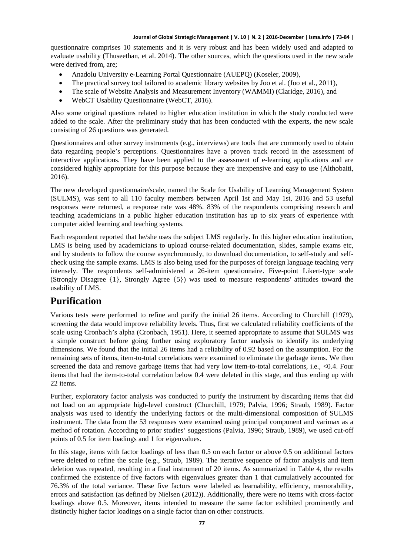questionnaire comprises 10 statements and it is very robust and has been widely used and adapted to evaluate usability (Thuseethan, et al. 2014). The other sources, which the questions used in the new scale were derived from, are;

- Anadolu University e-Learning Portal Questionnaire (AUEPQ) (Koseler, 2009),
- The practical survey tool tailored to academic library websites by Joo et al. (Joo et al., 2011),
- The scale of Website Analysis and Measurement Inventory (WAMMI) (Claridge, 2016), and
- WebCT Usability Questionnaire (WebCT, 2016).

Also some original questions related to higher education institution in which the study conducted were added to the scale. After the preliminary study that has been conducted with the experts, the new scale consisting of 26 questions was generated.

Questionnaires and other survey instruments (e.g., interviews) are tools that are commonly used to obtain data regarding people's perceptions. Questionnaires have a proven track record in the assessment of interactive applications. They have been applied to the assessment of e-learning applications and are considered highly appropriate for this purpose because they are inexpensive and easy to use (Althobaiti, 2016).

The new developed questionnaire/scale, named the Scale for Usability of Learning Management System (SULMS), was sent to all 110 faculty members between April 1st and May 1st, 2016 and 53 useful responses were returned, a response rate was 48%. 83% of the respondents comprising research and teaching academicians in a public higher education institution has up to six years of experience with computer aided learning and teaching systems.

Each respondent reported that he/she uses the subject LMS regularly. In this higher education institution, LMS is being used by academicians to upload course-related documentation, slides, sample exams etc, and by students to follow the course asynchronously, to download documentation, to self-study and selfcheck using the sample exams. LMS is also being used for the purposes of foreign language teaching very intensely. The respondents self-administered a 26-item questionnaire. Five-point Likert-type scale (Strongly Disagree {1}, Strongly Agree {5}) was used to measure respondents' attitudes toward the usability of LMS.

#### **Purification**

Various tests were performed to refine and purify the initial 26 items. According to Churchill (1979), screening the data would improve reliability levels. Thus, first we calculated reliability coefficients of the scale using Cronbach's alpha (Cronbach, 1951). Here, it seemed appropriate to assume that SULMS was a simple construct before going further using exploratory factor analysis to identify its underlying dimensions. We found that the initial 26 items had a reliability of 0.92 based on the assumption. For the remaining sets of items, item-to-total correlations were examined to eliminate the garbage items. We then screened the data and remove garbage items that had very low item-to-total correlations, i.e., <0.4. Four items that had the item-to-total correlation below 0.4 were deleted in this stage, and thus ending up with 22 items.

Further, exploratory factor analysis was conducted to purify the instrument by discarding items that did not load on an appropriate high-level construct (Churchill, 1979; Palvia, 1996; Straub, 1989). Factor analysis was used to identify the underlying factors or the multi-dimensional composition of SULMS instrument. The data from the 53 responses were examined using principal component and varimax as a method of rotation. According to prior studies' suggestions (Palvia, 1996; Straub, 1989), we used cut-off points of 0.5 for item loadings and 1 for eigenvalues.

In this stage, items with factor loadings of less than 0.5 on each factor or above 0.5 on additional factors were deleted to refine the scale (e.g., Straub, 1989). The iterative sequence of factor analysis and item deletion was repeated, resulting in a final instrument of 20 items. As summarized in Table 4, the results confirmed the existence of five factors with eigenvalues greater than 1 that cumulatively accounted for 76.3% of the total variance. These five factors were labeled as learnability, efficiency, memorability, errors and satisfaction (as defined by Nielsen (2012)). Additionally, there were no items with cross-factor loadings above 0.5. Moreover, items intended to measure the same factor exhibited prominently and distinctly higher factor loadings on a single factor than on other constructs.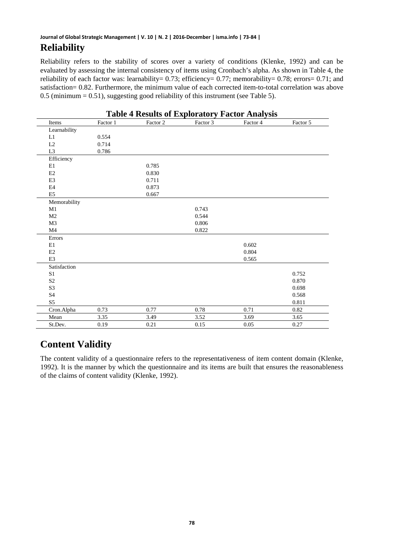Reliability refers to the stability of scores over a variety of conditions (Klenke, 1992) and can be evaluated by assessing the internal consistency of items using Cronbach's alpha. As shown in Table 4, the reliability of each factor was: learnability= 0.73; efficiency= 0.77; memorability= 0.78; errors= 0.71; and satisfaction= 0.82. Furthermore, the minimum value of each corrected item-to-total correlation was above 0.5 (minimum = 0.51), suggesting good reliability of this instrument (see Table 5).

| <b>Table 4 Results of Exploratory Factor Analysis</b> |          |          |          |          |          |  |  |  |  |  |  |  |
|-------------------------------------------------------|----------|----------|----------|----------|----------|--|--|--|--|--|--|--|
| Items                                                 | Factor 1 | Factor 2 | Factor 3 | Factor 4 | Factor 5 |  |  |  |  |  |  |  |
| Learnability                                          |          |          |          |          |          |  |  |  |  |  |  |  |
| L1                                                    | 0.554    |          |          |          |          |  |  |  |  |  |  |  |
| L2                                                    | 0.714    |          |          |          |          |  |  |  |  |  |  |  |
| L <sub>3</sub>                                        | 0.786    |          |          |          |          |  |  |  |  |  |  |  |
| Efficiency                                            |          |          |          |          |          |  |  |  |  |  |  |  |
| E1                                                    |          | 0.785    |          |          |          |  |  |  |  |  |  |  |
| E2                                                    |          | 0.830    |          |          |          |  |  |  |  |  |  |  |
| E <sub>3</sub>                                        |          | 0.711    |          |          |          |  |  |  |  |  |  |  |
| E <sub>4</sub>                                        |          | 0.873    |          |          |          |  |  |  |  |  |  |  |
| E <sub>5</sub>                                        |          | 0.667    |          |          |          |  |  |  |  |  |  |  |
| Memorability                                          |          |          |          |          |          |  |  |  |  |  |  |  |
| M1                                                    |          |          | 0.743    |          |          |  |  |  |  |  |  |  |
| M <sub>2</sub>                                        |          |          | 0.544    |          |          |  |  |  |  |  |  |  |
| M <sub>3</sub>                                        |          |          | 0.806    |          |          |  |  |  |  |  |  |  |
| M <sub>4</sub>                                        |          |          | 0.822    |          |          |  |  |  |  |  |  |  |
| Errors                                                |          |          |          |          |          |  |  |  |  |  |  |  |
| E1                                                    |          |          |          | 0.602    |          |  |  |  |  |  |  |  |
| E2                                                    |          |          |          | 0.804    |          |  |  |  |  |  |  |  |
| E <sub>3</sub>                                        |          |          |          | 0.565    |          |  |  |  |  |  |  |  |
| Satisfaction                                          |          |          |          |          |          |  |  |  |  |  |  |  |
| S <sub>1</sub>                                        |          |          |          |          | 0.752    |  |  |  |  |  |  |  |
| S <sub>2</sub>                                        |          |          |          |          | 0.870    |  |  |  |  |  |  |  |
| S <sub>3</sub>                                        |          |          |          |          | 0.698    |  |  |  |  |  |  |  |
| S <sub>4</sub>                                        |          |          |          |          | 0.568    |  |  |  |  |  |  |  |
| S <sub>5</sub>                                        |          |          |          |          | 0.811    |  |  |  |  |  |  |  |
| Cron.Alpha                                            | 0.73     | 0.77     | 0.78     | 0.71     | 0.82     |  |  |  |  |  |  |  |
| Mean                                                  | 3.35     | 3.49     | 3.52     | 3.69     | 3.65     |  |  |  |  |  |  |  |
| St.Dev.                                               | 0.19     | 0.21     | 0.15     | 0.05     | 0.27     |  |  |  |  |  |  |  |

# **Content Validity**

The content validity of a questionnaire refers to the representativeness of item content domain (Klenke, 1992). It is the manner by which the questionnaire and its items are built that ensures the reasonableness of the claims of content validity (Klenke, 1992).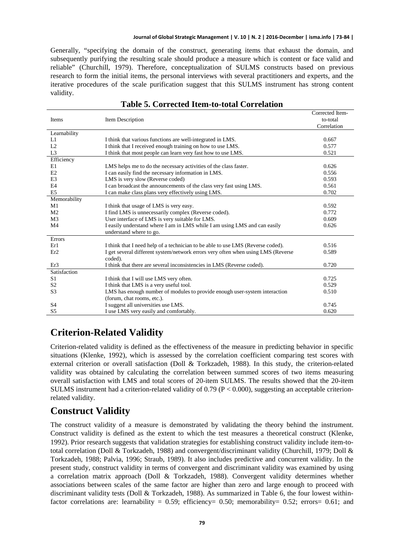Corrected Item-

Generally, "specifying the domain of the construct, generating items that exhaust the domain, and subsequently purifying the resulting scale should produce a measure which is content or face valid and reliable" (Churchill, 1979). Therefore, conceptualization of SULMS constructs based on previous research to form the initial items, the personal interviews with several practitioners and experts, and the iterative procedures of the scale purification suggest that this SULMS instrument has strong content validity.

| Items          | Item Description                                                                 | Corrected hem-<br>to-total |
|----------------|----------------------------------------------------------------------------------|----------------------------|
|                |                                                                                  | Correlation                |
| Learnability   |                                                                                  |                            |
| L1             | I think that various functions are well-integrated in LMS.                       | 0.667                      |
| L2             | I think that I received enough training on how to use LMS.                       | 0.577                      |
| L <sub>3</sub> | I think that most people can learn very fast how to use LMS.                     | 0.521                      |
| Efficiency     |                                                                                  |                            |
| E1             | LMS helps me to do the necessary activities of the class faster.                 | 0.626                      |
| E2             | I can easily find the necessary information in LMS.                              | 0.556                      |
| E <sub>3</sub> | LMS is very slow (Reverse coded)                                                 | 0.593                      |
| E <sub>4</sub> | I can broadcast the announcements of the class very fast using LMS.              | 0.561                      |
| E <sub>5</sub> | I can make class plans very effectively using LMS.                               | 0.702                      |
| Memorability   |                                                                                  |                            |
| M1             | I think that usage of LMS is very easy.                                          | 0.592                      |
| M <sub>2</sub> | I find LMS is unnecessarily complex (Reverse coded).                             | 0.772                      |
| M <sub>3</sub> | User interface of LMS is very suitable for LMS.                                  | 0.609                      |
| M <sub>4</sub> | I easily understand where I am in LMS while I am using LMS and can easily        | 0.626                      |
|                | understand where to go.                                                          |                            |
| Errors         |                                                                                  |                            |
| Er1            | I think that I need help of a technician to be able to use LMS (Reverse coded).  | 0.516                      |
| Er2            | I get several different system/network errors very often when using LMS (Reverse | 0.589                      |
|                | coded).                                                                          |                            |
| Er3            | I think that there are several inconsistencies in LMS (Reverse coded).           | 0.720                      |
| Satisfaction   |                                                                                  |                            |
| S <sub>1</sub> | I think that I will use LMS very often.                                          | 0.725                      |
| S <sub>2</sub> | I think that LMS is a very useful tool.                                          | 0.529                      |
| S <sub>3</sub> | LMS has enough number of modules to provide enough user-system interaction       | 0.510                      |
|                | (forum, chat rooms, etc.).                                                       |                            |
| S <sub>4</sub> | I suggest all universities use LMS.                                              | 0.745                      |
| S <sub>5</sub> | I use LMS very easily and comfortably.                                           | 0.620                      |

#### **Table 5. Corrected Item-to-total Correlation**

#### **Criterion-Related Validity**

Criterion-related validity is defined as the effectiveness of the measure in predicting behavior in specific situations (Klenke, 1992), which is assessed by the correlation coefficient comparing test scores with external criterion or overall satisfaction (Doll & Torkzadeh, 1988). In this study, the criterion-related validity was obtained by calculating the correlation between summed scores of two items measuring overall satisfaction with LMS and total scores of 20-item SULMS. The results showed that the 20-item SULMS instrument had a criterion-related validity of 0.79 (P < 0.000), suggesting an acceptable criterionrelated validity.

#### **Construct Validity**

The construct validity of a measure is demonstrated by validating the theory behind the instrument. Construct validity is defined as the extent to which the test measures a theoretical construct (Klenke, 1992). Prior research suggests that validation strategies for establishing construct validity include item-tototal correlation (Doll & Torkzadeh, 1988) and convergent/discriminant validity (Churchill, 1979; Doll & Torkzadeh, 1988; Palvia, 1996; Straub, 1989). It also includes predictive and concurrent validity. In the present study, construct validity in terms of convergent and discriminant validity was examined by using a correlation matrix approach (Doll & Torkzadeh, 1988). Convergent validity determines whether associations between scales of the same factor are higher than zero and large enough to proceed with discriminant validity tests (Doll & Torkzadeh, 1988). As summarized in Table 6, the four lowest withinfactor correlations are: learnability =  $0.59$ ; efficiency= 0.50; memorability= 0.52; errors= 0.61; and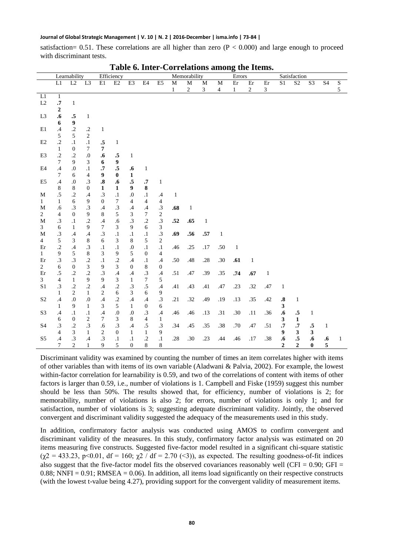satisfaction= 0.51. These correlations are all higher than zero ( $P < 0.000$ ) and large enough to proceed with discriminant tests.

|                 |                    | Learnability                |                           |                    | Efficiency        |                  | Memorability     |                  |              |            | Errors       |                |              |              | Satisfaction                |                   |                    |                   |                |              |
|-----------------|--------------------|-----------------------------|---------------------------|--------------------|-------------------|------------------|------------------|------------------|--------------|------------|--------------|----------------|--------------|--------------|-----------------------------|-------------------|--------------------|-------------------|----------------|--------------|
|                 | L1                 | L2                          | L <sub>3</sub>            | E1                 | E2                | E3               | E4               | E <sub>5</sub>   | M            | M          | M            | М              | Er           | Er           | Er                          | S1                | S <sub>2</sub>     | S <sub>3</sub>    | S <sub>4</sub> | $\mathbf S$  |
|                 |                    |                             |                           |                    |                   |                  |                  |                  | $\mathbf{1}$ | $\sqrt{2}$ | 3            | $\overline{4}$ | $\mathbf{1}$ | $\sqrt{2}$   | $\ensuremath{\mathfrak{Z}}$ |                   |                    |                   |                | 5            |
| $\overline{L1}$ | $\mathbf{1}$       |                             |                           |                    |                   |                  |                  |                  |              |            |              |                |              |              |                             |                   |                    |                   |                |              |
| L2              | $\cdot^{\text{7}}$ | $\mathbf{1}$                |                           |                    |                   |                  |                  |                  |              |            |              |                |              |              |                             |                   |                    |                   |                |              |
|                 | 2                  |                             |                           |                    |                   |                  |                  |                  |              |            |              |                |              |              |                             |                   |                    |                   |                |              |
| L <sub>3</sub>  | .6                 | .5                          | $\mathbf{1}$              |                    |                   |                  |                  |                  |              |            |              |                |              |              |                             |                   |                    |                   |                |              |
|                 | 6                  | $\boldsymbol{9}$            |                           |                    |                   |                  |                  |                  |              |            |              |                |              |              |                             |                   |                    |                   |                |              |
| E1              | $\cdot$            | $\cdot$ .2                  | $\cdot$                   | $\mathbf{1}$       |                   |                  |                  |                  |              |            |              |                |              |              |                             |                   |                    |                   |                |              |
|                 | $\mathfrak s$      | 5                           | $\mathbf{2}$              |                    |                   |                  |                  |                  |              |            |              |                |              |              |                             |                   |                    |                   |                |              |
| E2              | $\cdot$            | $\cdot$ 1                   | $\cdot$                   | $\mathbf{.5}$      | $\mathbf{1}$      |                  |                  |                  |              |            |              |                |              |              |                             |                   |                    |                   |                |              |
|                 | $\mathbf{1}$       | $\mathbf{0}$                | $\tau$                    | 7                  |                   |                  |                  |                  |              |            |              |                |              |              |                             |                   |                    |                   |                |              |
| E3              | $\cdot$            | $\cdot$                     | $\cdot$                   | .6                 | .5                | $\mathbf{1}$     |                  |                  |              |            |              |                |              |              |                             |                   |                    |                   |                |              |
|                 | $\overline{7}$     | 9                           | 3                         | 6                  | $\boldsymbol{9}$  |                  |                  |                  |              |            |              |                |              |              |                             |                   |                    |                   |                |              |
| E <sub>4</sub>  | $\cdot$ 4          | .0                          | $\cdot$                   | $\cdot^{\text{7}}$ | $\cdot$ 5         | .6               | $\mathbf{1}$     |                  |              |            |              |                |              |              |                             |                   |                    |                   |                |              |
|                 | 7                  | 6                           | $\overline{4}$            | 9                  | $\bf{0}$          | $\mathbf{1}$     |                  |                  |              |            |              |                |              |              |                             |                   |                    |                   |                |              |
| E <sub>5</sub>  | $\cdot$ 4          | .0                          | $\cdot$ 3                 | $\boldsymbol{.8}$  | $\boldsymbol{.6}$ | $\cdot$ 5        | $\cdot^7$        | $\mathbf{1}$     |              |            |              |                |              |              |                             |                   |                    |                   |                |              |
|                 | 8                  | $\,8\,$                     | $\mathbf{0}$              | 1                  | $\mathbf{1}$      | 9                | 8                |                  |              |            |              |                |              |              |                             |                   |                    |                   |                |              |
| $\mathbf M$     | .5                 | $\cdot$                     | $\cdot$ 4                 | $\cdot$ 3          | $\cdot^1$         | $\cdot 0$        | $\cdot$          | $\cdot$ 4        | $\mathbf{1}$ |            |              |                |              |              |                             |                   |                    |                   |                |              |
| $\mathbf{1}$    | $\mathbf{1}$       | 6                           | 9                         | $\boldsymbol{0}$   | $\tau$            | $\overline{4}$   | $\overline{4}$   | $\overline{4}$   |              |            |              |                |              |              |                             |                   |                    |                   |                |              |
| $\mathbf M$     | .6                 | $\cdot$ 3                   | $\boldsymbol{.3}$         | $\mathcal{A}$      | $\boldsymbol{0}$  | .4               | $\cdot$ 4        | $\cdot$ 3        | .68          | 1          |              |                |              |              |                             |                   |                    |                   |                |              |
| $\overline{c}$  | $\overline{4}$     | $\boldsymbol{0}$            | 9                         | 8                  | 5                 | 3                | $\tau$           | $\sqrt{2}$       |              |            |              |                |              |              |                             |                   |                    |                   |                |              |
| $\mathbf M$     | $\cdot$ 3          | $\cdot$                     | $\cdot$                   | $\mathcal{A}$      | .6                | $\cdot$ 3        | $\cdot$          | $\cdot$ 3        | .52          | .65        | $\mathbf{1}$ |                |              |              |                             |                   |                    |                   |                |              |
| 3               | 6                  | $\mathbf{1}$                | 9                         | $\tau$             | 3                 | 9                | 6                | $\mathfrak z$    |              |            |              |                |              |              |                             |                   |                    |                   |                |              |
| $\mathbf M$     | $\cdot$ 3          | .4                          | $\cdot$ 4                 | $\cdot$ 3          | $\cdot 1$         | $\cdot$ 1        | $\cdot$          | $\cdot$ 3        | .69          | .56        | .57          | $\mathbf{1}$   |              |              |                             |                   |                    |                   |                |              |
| $\overline{4}$  | 5                  | 3                           | 8                         | 6                  | $\mathfrak{Z}$    | 8                | 5                | $\sqrt{2}$       |              |            |              |                |              |              |                             |                   |                    |                   |                |              |
| Er              | $\cdot$ .2         | .4                          | .3                        | $\cdot$            | $\cdot$ 1         | $\cdot$          | $\cdot$          | $\cdot^1$        | .46          | .25        | $.17\,$      | .50            | $\mathbf{1}$ |              |                             |                   |                    |                   |                |              |
| $\mathbf{1}$    | 9                  | 5                           | 8                         | 3                  | 9                 | 5                | $\boldsymbol{0}$ | 4                |              |            |              |                |              |              |                             |                   |                    |                   |                |              |
| Er              | $\cdot$ 3          | $\cdot$ 3                   | $\cdot$                   | $\cdot^1$          | $\cdot$ .2        | .4               | $\cdot$          | .4               | .50          | .48        | .28          | .30            | .61          | $\mathbf{1}$ |                             |                   |                    |                   |                |              |
| $\overline{c}$  | 6                  | $\boldsymbol{0}$            | $\ensuremath{\mathbf{3}}$ | 9                  | 3                 | $\mathbf{0}$     | 8                | $\boldsymbol{0}$ |              |            |              |                |              |              |                             |                   |                    |                   |                |              |
| Er              | $\cdot$ 5          | $\cdot$ .2                  | $\cdot$                   | $\cdot$ 3          | .4                | .4               | $.3\,$           | .4               | .51          | .47        | .39          | .35            | .74          | .67          | $\mathbf{1}$                |                   |                    |                   |                |              |
| 3 <sup>7</sup>  | $\overline{4}$     | $\mathbf{1}$                | 9                         | 9                  | 3                 | $\mathbf{1}$     | 7                | 5                |              |            |              |                |              |              |                             |                   |                    |                   |                |              |
| S1              | $\cdot$ 3          | $\cdot$ .2                  | $\cdot$                   | $\mathcal{A}$      | $\cdot$ .2        | $.3\,$           | $\cdot$          | .4               | .41          | .43        | .41          | .47            | .23          | .32          | .47                         | $\mathbf{1}$      |                    |                   |                |              |
|                 | $\mathbf{1}$       | $\overline{2}$              | $\mathbf{1}$              | $\boldsymbol{2}$   | 6                 | 3                | 6                | 9                |              |            |              |                |              |              |                             |                   |                    |                   |                |              |
| S <sub>2</sub>  | $\mathcal{A}$      | .0                          | $\cdot$                   | $\mathcal{A}$      | $\cdot$ .2        | .4               | .4               | $\cdot$ 3        | .21          | .32        | .49          | .19            | .13          | .35          | .42                         | $\boldsymbol{.8}$ | $\mathbf{1}$       |                   |                |              |
|                 | 1                  | 9                           | $\mathbf{1}$              | 3                  | 5                 | $\mathbf{1}$     | $\boldsymbol{0}$ | 6                |              |            |              |                |              |              |                             | 3                 |                    |                   |                |              |
| S3              | $\mathcal{A}$      | $\cdot$                     | $\cdot$                   | $\cdot$ 4          | $.0\,$            | $\boldsymbol{0}$ | $\cdot$ 3        | .4               | .46          | .46        | .13          | .31            | .30          | .11          | .36                         | .6                | $\boldsymbol{.5}$  | $\mathbf{1}$      |                |              |
|                 | 6                  | $\mathbf{0}$                | $\boldsymbol{2}$          | $\boldsymbol{7}$   | 3                 | 8                | $\overline{4}$   | $\mathbf{1}$     |              |            |              |                |              |              |                             | 3                 | $\mathbf{1}$       |                   |                |              |
| S4              | $\cdot$ 3          | $\cdot$                     | $\boldsymbol{.3}$         | .6                 | $.3\phantom{0}$   | .4               | $.5\,$           | $\cdot$ 3        | .34          | .45        | .35          | .38            | .70          | .47          | .51                         | $\cdot$           | $\cdot^{\text{7}}$ | .5                | 1              |              |
|                 | 4                  | $\ensuremath{\mathfrak{Z}}$ | $\mathbf{1}$              | $\boldsymbol{2}$   | $\boldsymbol{0}$  | $\mathbf{1}$     | $\mathbf{1}$     | 9                |              |            |              |                |              |              |                             | 9                 | $\mathbf{3}$       | $\mathbf{3}$      |                |              |
| S5              | $\mathcal{A}$      | $\cdot$ 3                   | $\mathcal A$              | $\cdot$ 3          | $\cdot^1$         | $\cdot$          | $\cdot$          | $\cdot 1$        | .28          | .30        | .23          | .44            | .46          | .17          | .38                         | .6                | ${\bf .5}$         | $\boldsymbol{.6}$ | .6             | $\mathbf{1}$ |
|                 | $\overline{7}$     | $\overline{c}$              | $\mathbf{1}$              | 9                  | 5                 | $\boldsymbol{0}$ | 8                | 8                |              |            |              |                |              |              |                             | $\overline{2}$    | $\overline{2}$     | $\bf{0}$          | 5              |              |

**Table 6. Inter-Correlations among the Items.**

Discriminant validity was examined by counting the number of times an item correlates higher with items of other variables than with items of its own variable (Aladwani & Palvia, 2002). For example, the lowest within-factor correlation for learnability is 0.59, and two of the correlations of content with items of other factors is larger than 0.59, i.e., number of violations is 1. Campbell and Fiske (1959) suggest this number should be less than 50%. The results showed that, for efficiency, number of violations is 2; for memorability, number of violations is also 2; for errors, number of violations is only 1; and for satisfaction, number of violations is 3; suggesting adequate discriminant validity. Jointly, the observed convergent and discriminant validity suggested the adequacy of the measurements used in this study.

In addition, confirmatory factor analysis was conducted using AMOS to confirm convergent and discriminant validity of the measures. In this study, confirmatory factor analysis was estimated on 20 items measuring five constructs. Suggested five-factor model resulted in a significant chi-square statistic  $(\chi^2 = 433.23, \text{ p} < 0.01, \text{ df} = 160; \chi^2 / \text{ df} = 2.70 \, (\text{<} 3)$ ), as expected. The resulting goodness-of-fit indices also suggest that the five-factor model fits the observed covariances reasonably well (CFI =  $0.90$ ; GFI = 0.88; NNFI = 0.91; RMSEA = 0.06). In addition, all items load significantly on their respective constructs (with the lowest t-value being 4.27), providing support for the convergent validity of measurement items.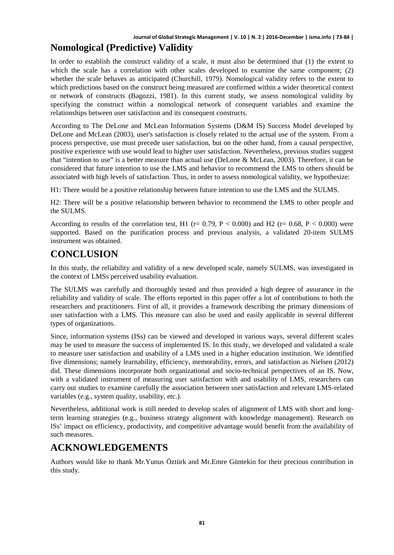#### **Journal of Global Strategic Management | V. 10 | N. 2 | 2016-December | isma.info | 73-84 | Nomological (Predictive) Validity**

In order to establish the construct validity of a scale, it must also be determined that (1) the extent to which the scale has a correlation with other scales developed to examine the same component; (2) whether the scale behaves as anticipated (Churchill, 1979). Nomological validity refers to the extent to which predictions based on the construct being measured are confirmed within a wider theoretical context or network of constructs (Bagozzi, 1981). In this current study, we assess nomological validity by specifying the construct within a nomological network of consequent variables and examine the relationships between user satisfaction and its consequent constructs.

According to The DeLone and McLean Information Systems (D&M IS) Success Model developed by DeLone and McLean (2003), user's satisfaction is closely related to the actual use of the system. From a process perspective, use must precede user satisfaction, but on the other hand, from a causal perspective, positive experience with use would lead to higher user satisfaction. Nevertheless, previous studies suggest that "intention to use" is a better measure than actual use (DeLone & McLean, 2003). Therefore, it can be considered that future intention to use the LMS and behavior to recommend the LMS to others should be associated with high levels of satisfaction. Thus, in order to assess nomological validity, we hypothesize:

H1: There would be a positive relationship between future intention to use the LMS and the SULMS.

H2: There will be a positive relationship between behavior to recommend the LMS to other people and the SULMS.

According to results of the correlation test, H1 ( $r = 0.79$ ,  $P < 0.000$ ) and H2 ( $r = 0.68$ ,  $P < 0.000$ ) were supported. Based on the purification process and previous analysis, a validated 20-item SULMS instrument was obtained.

#### **CONCLUSION**

In this study, the reliability and validity of a new developed scale, namely SULMS, was investigated in the context of LMSs perceived usability evaluation.

The SULMS was carefully and thoroughly tested and thus provided a high degree of assurance in the reliability and validity of scale. The efforts reported in this paper offer a lot of contributions to both the researchers and practitioners. First of all, it provides a framework describing the primary dimensions of user satisfaction with a LMS. This measure can also be used and easily applicable in several different types of organizations.

Since, information systems (ISs) can be viewed and developed in various ways, several different scales may be used to measure the success of implemented IS. In this study, we developed and validated a scale to measure user satisfaction and usability of a LMS used in a higher education institution. We identified five dimensions; namely learnability, efficiency, memorability, errors, and satisfaction as Nielsen (2012) did. These dimensions incorporate both organizational and socio-technical perspectives of an IS. Now, with a validated instrument of measuring user satisfaction with and usability of LMS, researchers can carry out studies to examine carefully the association between user satisfaction and relevant LMS-related variables (e.g., system quality, usability, etc.).

Nevertheless, additional work is still needed to develop scales of alignment of LMS with short and longterm learning strategies (e.g., business strategy alignment with knowledge management). Research on ISs' impact on efficiency, productivity, and competitive advantage would benefit from the availability of such measures.

#### **ACKNOWLEDGEMENTS**

Authors would like to thank Mr.Yunus Öztürk and Mr.Emre Güntekin for their precious contribution in this study.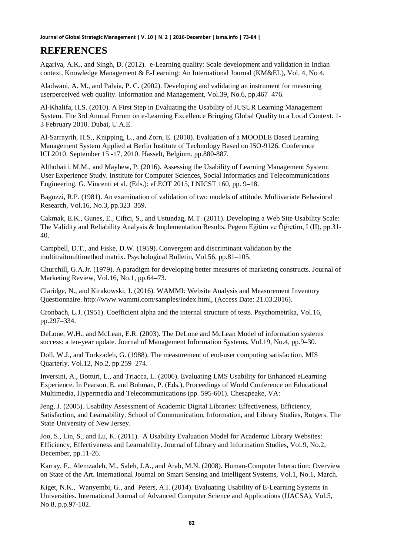## **REFERENCES**

Agariya, A.K., and Singh, D. (2012). e-Learning quality: Scale development and validation in Indian context, Knowledge Management & E-Learning: An International Journal (KM&EL), Vol. 4, No 4.

Aladwani, A. M., and Palvia, P. C. (2002). Developing and validating an instrument for measuring userperceived web quality. Information and Management, Vol.39, No.6, pp.467–476.

Al-Khalifa, H.S. (2010). A First Step in Evaluating the Usability of JUSUR Learning Management System. The 3rd Annual Forum on e-Learning Excellence Bringing Global Quality to a Local Context. 1- 3 February 2010. Dubai, U.A.E.

Al-Sarrayrih, H.S., Knipping, L., and Zorn, E. (2010). Evaluation of a MOODLE Based Learning Management System Applied at Berlin Institute of Technology Based on ISO-9126. Conference ICL2010. September 15 -17, 2010. Hasselt, Belgium. pp.880-887.

Althobaiti, M.M., and Mayhew, P. (2016). Assessing the Usability of Learning Management System: User Experience Study. Institute for Computer Sciences, Social Informatics and Telecommunications Engineering. G. Vincenti et al. (Eds.): eLEOT 2015, LNICST 160, pp. 9–18.

Bagozzi, R.P. (1981). An examination of validation of two models of attitude. Multivariate Behavioral Research, Vol.16, No.3, pp.323–359.

Cakmak, E.K., Gunes, E., Ciftci, S., and Ustundag, M.T. (2011). Developing a Web Site Usability Scale: The Validity and Reliability Analysis & Implementation Results. Pegem Eğitim ve Öğretim, I (II), pp.31- 40.

Campbell, D.T., and Fiske, D.W. (1959). Convergent and discriminant validation by the multitraitmultimethod matrix. Psychological Bulletin, Vol.56, pp.81–105.

Churchill, G.A.Jr. (1979). A paradigm for developing better measures of marketing constructs. Journal of Marketing Review, Vol.16, No.1, pp.64–73.

Claridge, N., and Kirakowski, J. (2016). WAMMI: Website Analysis and Measurement Inventory Questionnaire. http://www.wammi.com/samples/index.html, (Access Date: 21.03.2016).

Cronbach, L.J. (1951). Coefficient alpha and the internal structure of tests. Psychometrika, Vol.16, pp.297–334.

DeLone, W.H., and McLean, E.R. (2003). The DeLone and McLean Model of information systems success: a ten-year update. Journal of Management Information Systems, Vol.19, No.4, pp.9–30.

Doll, W.J., and Torkzadeh, G. (1988). The measurement of end-user computing satisfaction. MIS Quarterly, Vol.12, No.2, pp.259–274.

Inversini, A., Botturi, L., and Triacca, L. (2006). Evaluating LMS Usability for Enhanced eLearning Experience. In Pearson, E. and Bohman, P. (Eds.), Proceedings of World Conference on Educational Multimedia, Hypermedia and Telecommunications (pp. 595-601). Chesapeake, VA:

Jeng, J. (2005). Usability Assessment of Academic Digital Libraries: Effectiveness, Efficiency, Satisfaction, and Learnability. School of Communication, Information, and Library Studies, Rutgers, The State University of New Jersey.

Joo, S., Lin, S., and Lu, K. (2011). A Usability Evaluation Model for Academic Library Websites: Efficiency, Effectiveness and Learnability. Journal of Library and Information Studies, Vol.9, No.2, December, pp.11-26.

Karray, F., Alemzadeh, M., Saleh, J.A., and Arab, M.N. (2008). Human-Computer Interaction: Overview on State of the Art. International Journal on Smart Sensing and Intelligent Systems, Vol.1, No.1, March.

Kiget, N.K., Wanyembi, G., and Peters, A.I. (2014). Evaluating Usability of E-Learning Systems in Universities. International Journal of Advanced Computer Science and Applications (IJACSA), Vol.5, No.8, p.p.97-102.